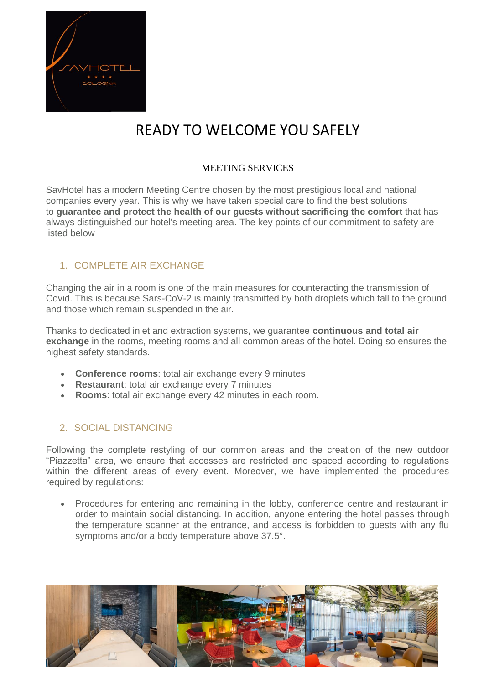

# READY TO WELCOME YOU SAFELY

#### MEETING SERVICES

SavHotel has a modern Meeting Centre chosen by the most prestigious local and national companies every year. This is why we have taken special care to find the best solutions to **guarantee and protect the health of our guests without sacrificing the comfort** that has always distinguished our hotel's meeting area. The key points of our commitment to safety are listed below

### 1. COMPLETE AIR EXCHANGE

Changing the air in a room is one of the main measures for counteracting the transmission of Covid. This is because Sars-CoV-2 is mainly transmitted by both droplets which fall to the ground and those which remain suspended in the air.

Thanks to dedicated inlet and extraction systems, we guarantee **continuous and total air exchange** in the rooms, meeting rooms and all common areas of the hotel. Doing so ensures the highest safety standards.

- **Conference rooms**: total air exchange every 9 minutes
- **Restaurant**: total air exchange every 7 minutes
- **Rooms**: total air exchange every 42 minutes in each room.

### 2. SOCIAL DISTANCING

Following the complete restyling of our common areas and the creation of the new outdoor "Piazzetta" area, we ensure that accesses are restricted and spaced according to regulations within the different areas of every event. Moreover, we have implemented the procedures required by regulations:

• Procedures for entering and remaining in the lobby, conference centre and restaurant in order to maintain social distancing. In addition, anyone entering the hotel passes through the temperature scanner at the entrance, and access is forbidden to guests with any flu symptoms and/or a body temperature above 37.5°.

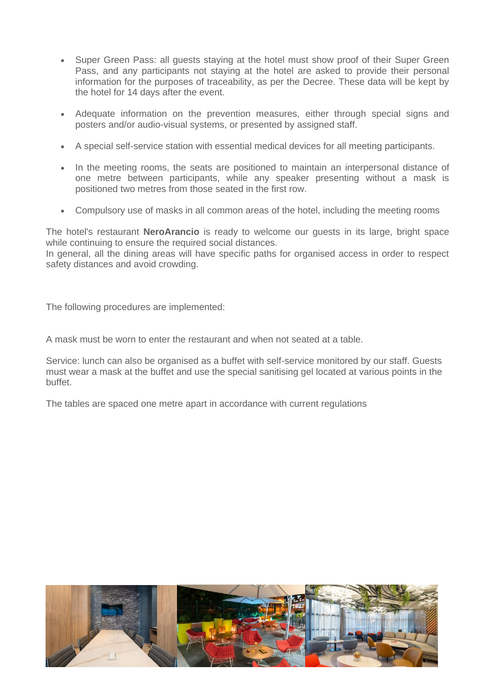- Super Green Pass: all guests staying at the hotel must show proof of their Super Green Pass, and any participants not staying at the hotel are asked to provide their personal information for the purposes of traceability, as per the Decree. These data will be kept by the hotel for 14 days after the event.
- Adequate information on the prevention measures, either through special signs and posters and/or audio-visual systems, or presented by assigned staff.
- A special self-service station with essential medical devices for all meeting participants.
- In the meeting rooms, the seats are positioned to maintain an interpersonal distance of one metre between participants, while any speaker presenting without a mask is positioned two metres from those seated in the first row.
- Compulsory use of masks in all common areas of the hotel, including the meeting rooms

The hotel's restaurant **NeroArancio** is ready to welcome our guests in its large, bright space while continuing to ensure the required social distances.

In general, all the dining areas will have specific paths for organised access in order to respect safety distances and avoid crowding.

The following procedures are implemented:

A mask must be worn to enter the restaurant and when not seated at a table.

Service: lunch can also be organised as a buffet with self-service monitored by our staff. Guests must wear a mask at the buffet and use the special sanitising gel located at various points in the buffet.

The tables are spaced one metre apart in accordance with current regulations